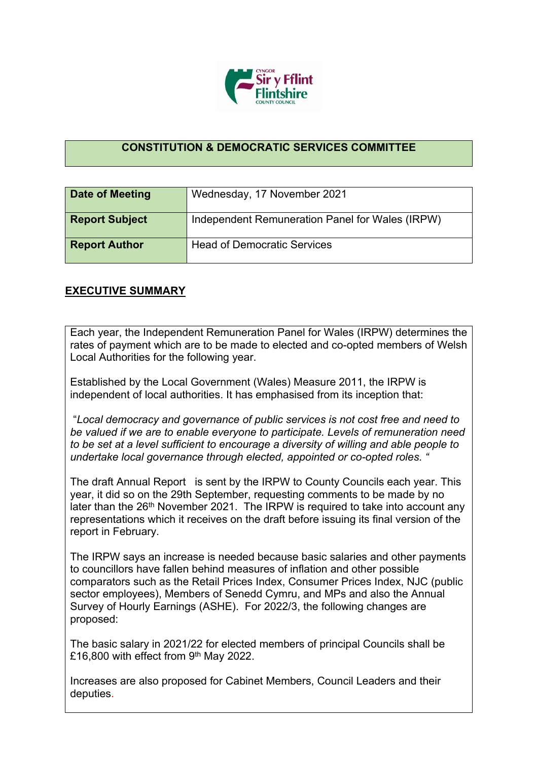

## **CONSTITUTION & DEMOCRATIC SERVICES COMMITTEE**

| <b>Date of Meeting</b> | Wednesday, 17 November 2021                     |
|------------------------|-------------------------------------------------|
| <b>Report Subject</b>  | Independent Remuneration Panel for Wales (IRPW) |
| <b>Report Author</b>   | <b>Head of Democratic Services</b>              |

## **EXECUTIVE SUMMARY**

Each year, the Independent Remuneration Panel for Wales (IRPW) determines the rates of payment which are to be made to elected and co-opted members of Welsh Local Authorities for the following year.

Established by the Local Government (Wales) Measure 2011, the IRPW is independent of local authorities. It has emphasised from its inception that:

"*Local democracy and governance of public services is not cost free and need to be valued if we are to enable everyone to participate. Levels of remuneration need to be set at a level sufficient to encourage a diversity of willing and able people to undertake local governance through elected, appointed or co-opted roles. "*

The draft Annual Report is sent by the IRPW to County Councils each year. This year, it did so on the 29th September, requesting comments to be made by no later than the  $26<sup>th</sup>$  November 2021. The IRPW is required to take into account any representations which it receives on the draft before issuing its final version of the report in February.

The IRPW says an increase is needed because basic salaries and other payments to councillors have fallen behind measures of inflation and other possible comparators such as the Retail Prices Index, Consumer Prices Index, NJC (public sector employees), Members of Senedd Cymru, and MPs and also the Annual Survey of Hourly Earnings (ASHE). For 2022/3, the following changes are proposed:

The basic salary in 2021/22 for elected members of principal Councils shall be £16,800 with effect from  $9<sup>th</sup>$  May 2022.

Increases are also proposed for Cabinet Members, Council Leaders and their deputies.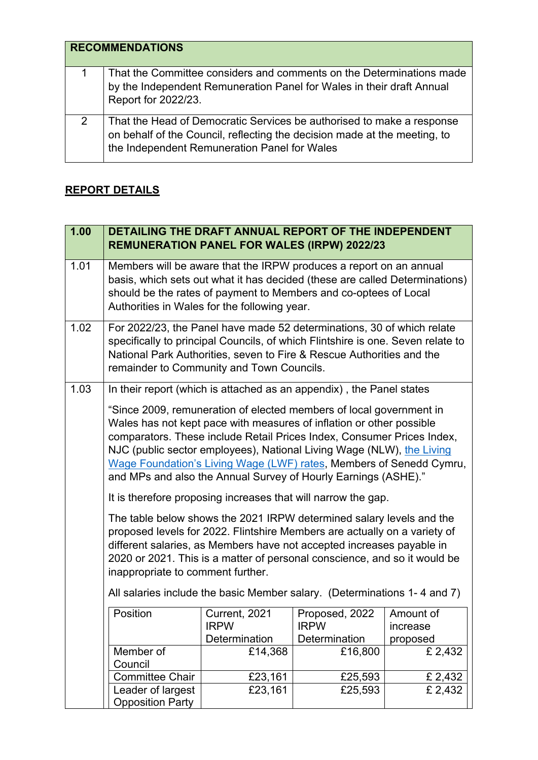|   | <b>RECOMMENDATIONS</b>                                                                                                                                                                             |
|---|----------------------------------------------------------------------------------------------------------------------------------------------------------------------------------------------------|
|   | That the Committee considers and comments on the Determinations made<br>by the Independent Remuneration Panel for Wales in their draft Annual<br>Report for 2022/23.                               |
| 2 | That the Head of Democratic Services be authorised to make a response<br>on behalf of the Council, reflecting the decision made at the meeting, to<br>the Independent Remuneration Panel for Wales |

## **REPORT DETAILS**

| 1.00 | DETAILING THE DRAFT ANNUAL REPORT OF THE INDEPENDENT<br><b>REMUNERATION PANEL FOR WALES (IRPW) 2022/23</b>                                                                                                                                                                                                                                                                                                                              |                                               |                                                |                                   |
|------|-----------------------------------------------------------------------------------------------------------------------------------------------------------------------------------------------------------------------------------------------------------------------------------------------------------------------------------------------------------------------------------------------------------------------------------------|-----------------------------------------------|------------------------------------------------|-----------------------------------|
| 1.01 | Members will be aware that the IRPW produces a report on an annual<br>basis, which sets out what it has decided (these are called Determinations)<br>should be the rates of payment to Members and co-optees of Local<br>Authorities in Wales for the following year.                                                                                                                                                                   |                                               |                                                |                                   |
| 1.02 | For 2022/23, the Panel have made 52 determinations, 30 of which relate<br>specifically to principal Councils, of which Flintshire is one. Seven relate to<br>National Park Authorities, seven to Fire & Rescue Authorities and the<br>remainder to Community and Town Councils.                                                                                                                                                         |                                               |                                                |                                   |
| 1.03 | In their report (which is attached as an appendix), the Panel states                                                                                                                                                                                                                                                                                                                                                                    |                                               |                                                |                                   |
|      | "Since 2009, remuneration of elected members of local government in<br>Wales has not kept pace with measures of inflation or other possible<br>comparators. These include Retail Prices Index, Consumer Prices Index,<br>NJC (public sector employees), National Living Wage (NLW), the Living<br>Wage Foundation's Living Wage (LWF) rates, Members of Senedd Cymru,<br>and MPs and also the Annual Survey of Hourly Earnings (ASHE)." |                                               |                                                |                                   |
|      | It is therefore proposing increases that will narrow the gap.                                                                                                                                                                                                                                                                                                                                                                           |                                               |                                                |                                   |
|      | The table below shows the 2021 IRPW determined salary levels and the<br>proposed levels for 2022. Flintshire Members are actually on a variety of<br>different salaries, as Members have not accepted increases payable in<br>2020 or 2021. This is a matter of personal conscience, and so it would be<br>inappropriate to comment further.<br>All salaries include the basic Member salary. (Determinations 1-4 and 7)                |                                               |                                                |                                   |
|      | Position                                                                                                                                                                                                                                                                                                                                                                                                                                | Current, 2021<br><b>IRPW</b><br>Determination | Proposed, 2022<br><b>IRPW</b><br>Determination | Amount of<br>increase<br>proposed |
|      | Member of<br>Council                                                                                                                                                                                                                                                                                                                                                                                                                    | £14,368                                       | £16,800                                        | £ 2,432                           |
|      | <b>Committee Chair</b>                                                                                                                                                                                                                                                                                                                                                                                                                  | £23,161                                       | £25,593                                        | £ 2,432                           |
|      | Leader of largest<br><b>Opposition Party</b>                                                                                                                                                                                                                                                                                                                                                                                            | £23,161                                       | £25,593                                        | £ 2,432                           |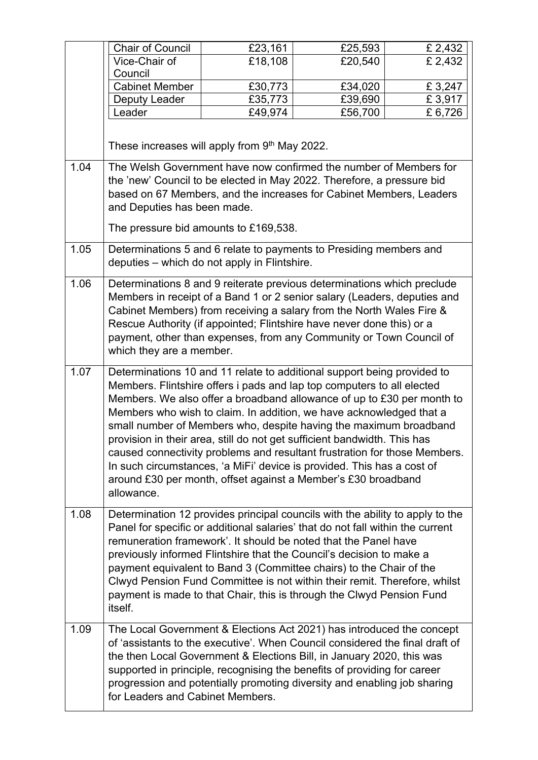|      | <b>Chair of Council</b>                                                                                                                                                                                                                                                                                                                                                                                                                                                                                                                                                                                                                                                                   | £23,161                                                                                                                                                                                                                                                                                                                                                                                                                                                                                                                                 | £25,593 | £ 2,432 |
|------|-------------------------------------------------------------------------------------------------------------------------------------------------------------------------------------------------------------------------------------------------------------------------------------------------------------------------------------------------------------------------------------------------------------------------------------------------------------------------------------------------------------------------------------------------------------------------------------------------------------------------------------------------------------------------------------------|-----------------------------------------------------------------------------------------------------------------------------------------------------------------------------------------------------------------------------------------------------------------------------------------------------------------------------------------------------------------------------------------------------------------------------------------------------------------------------------------------------------------------------------------|---------|---------|
|      | Vice-Chair of                                                                                                                                                                                                                                                                                                                                                                                                                                                                                                                                                                                                                                                                             | £18,108                                                                                                                                                                                                                                                                                                                                                                                                                                                                                                                                 | £20,540 | £ 2,432 |
|      | Council                                                                                                                                                                                                                                                                                                                                                                                                                                                                                                                                                                                                                                                                                   |                                                                                                                                                                                                                                                                                                                                                                                                                                                                                                                                         |         |         |
|      | <b>Cabinet Member</b>                                                                                                                                                                                                                                                                                                                                                                                                                                                                                                                                                                                                                                                                     | £30,773                                                                                                                                                                                                                                                                                                                                                                                                                                                                                                                                 | £34,020 | £3,247  |
|      | Deputy Leader                                                                                                                                                                                                                                                                                                                                                                                                                                                                                                                                                                                                                                                                             | £35,773                                                                                                                                                                                                                                                                                                                                                                                                                                                                                                                                 | £39,690 | £3,917  |
|      | Leader                                                                                                                                                                                                                                                                                                                                                                                                                                                                                                                                                                                                                                                                                    | £49,974                                                                                                                                                                                                                                                                                                                                                                                                                                                                                                                                 | £56,700 | £ 6,726 |
|      |                                                                                                                                                                                                                                                                                                                                                                                                                                                                                                                                                                                                                                                                                           | These increases will apply from 9th May 2022.                                                                                                                                                                                                                                                                                                                                                                                                                                                                                           |         |         |
| 1.04 | The Welsh Government have now confirmed the number of Members for<br>the 'new' Council to be elected in May 2022. Therefore, a pressure bid<br>and Deputies has been made.                                                                                                                                                                                                                                                                                                                                                                                                                                                                                                                | based on 67 Members, and the increases for Cabinet Members, Leaders<br>The pressure bid amounts to £169,538.                                                                                                                                                                                                                                                                                                                                                                                                                            |         |         |
| 1.05 |                                                                                                                                                                                                                                                                                                                                                                                                                                                                                                                                                                                                                                                                                           | Determinations 5 and 6 relate to payments to Presiding members and<br>deputies - which do not apply in Flintshire.                                                                                                                                                                                                                                                                                                                                                                                                                      |         |         |
| 1.06 | which they are a member.                                                                                                                                                                                                                                                                                                                                                                                                                                                                                                                                                                                                                                                                  | Determinations 8 and 9 reiterate previous determinations which preclude<br>Members in receipt of a Band 1 or 2 senior salary (Leaders, deputies and<br>Cabinet Members) from receiving a salary from the North Wales Fire &<br>Rescue Authority (if appointed; Flintshire have never done this) or a<br>payment, other than expenses, from any Community or Town Council of                                                                                                                                                             |         |         |
| 1.07 | Determinations 10 and 11 relate to additional support being provided to<br>Members. Flintshire offers i pads and lap top computers to all elected<br>Members. We also offer a broadband allowance of up to £30 per month to<br>Members who wish to claim. In addition, we have acknowledged that a<br>small number of Members who, despite having the maximum broadband<br>provision in their area, still do not get sufficient bandwidth. This has<br>caused connectivity problems and resultant frustration for those Members.<br>In such circumstances, 'a MiFi' device is provided. This has a cost of<br>around £30 per month, offset against a Member's £30 broadband<br>allowance. |                                                                                                                                                                                                                                                                                                                                                                                                                                                                                                                                         |         |         |
| 1.08 | itself.                                                                                                                                                                                                                                                                                                                                                                                                                                                                                                                                                                                                                                                                                   | Determination 12 provides principal councils with the ability to apply to the<br>Panel for specific or additional salaries' that do not fall within the current<br>remuneration framework'. It should be noted that the Panel have<br>previously informed Flintshire that the Council's decision to make a<br>payment equivalent to Band 3 (Committee chairs) to the Chair of the<br>Clwyd Pension Fund Committee is not within their remit. Therefore, whilst<br>payment is made to that Chair, this is through the Clwyd Pension Fund |         |         |
| 1.09 | The Local Government & Elections Act 2021) has introduced the concept<br>the then Local Government & Elections Bill, in January 2020, this was<br>for Leaders and Cabinet Members.                                                                                                                                                                                                                                                                                                                                                                                                                                                                                                        | of 'assistants to the executive'. When Council considered the final draft of<br>supported in principle, recognising the benefits of providing for career<br>progression and potentially promoting diversity and enabling job sharing                                                                                                                                                                                                                                                                                                    |         |         |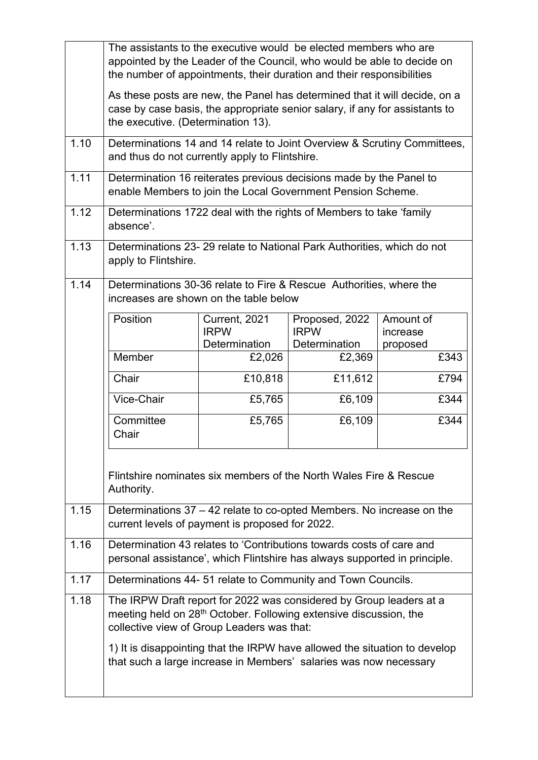|      | The assistants to the executive would be elected members who are<br>appointed by the Leader of the Council, who would be able to decide on<br>the number of appointments, their duration and their responsibilities |                                               |                                                |                                   |
|------|---------------------------------------------------------------------------------------------------------------------------------------------------------------------------------------------------------------------|-----------------------------------------------|------------------------------------------------|-----------------------------------|
|      | As these posts are new, the Panel has determined that it will decide, on a<br>case by case basis, the appropriate senior salary, if any for assistants to<br>the executive. (Determination 13).                     |                                               |                                                |                                   |
| 1.10 | Determinations 14 and 14 relate to Joint Overview & Scrutiny Committees,<br>and thus do not currently apply to Flintshire.                                                                                          |                                               |                                                |                                   |
| 1.11 | Determination 16 reiterates previous decisions made by the Panel to<br>enable Members to join the Local Government Pension Scheme.                                                                                  |                                               |                                                |                                   |
| 1.12 | Determinations 1722 deal with the rights of Members to take 'family<br>absence'.                                                                                                                                    |                                               |                                                |                                   |
| 1.13 | Determinations 23-29 relate to National Park Authorities, which do not<br>apply to Flintshire.                                                                                                                      |                                               |                                                |                                   |
| 1.14 | Determinations 30-36 relate to Fire & Rescue Authorities, where the<br>increases are shown on the table below                                                                                                       |                                               |                                                |                                   |
|      | Position                                                                                                                                                                                                            | Current, 2021<br><b>IRPW</b><br>Determination | Proposed, 2022<br><b>IRPW</b><br>Determination | Amount of<br>increase<br>proposed |
|      | Member                                                                                                                                                                                                              | £2,026                                        | £2,369                                         | £343                              |
|      | Chair                                                                                                                                                                                                               | £10,818                                       | £11,612                                        | £794                              |
|      | Vice-Chair                                                                                                                                                                                                          | £5,765                                        | £6,109                                         | £344                              |
|      | Committee<br>Chair                                                                                                                                                                                                  | £5,765                                        | £6,109                                         | £344                              |
|      | Flintshire nominates six members of the North Wales Fire & Rescue<br>Authority.                                                                                                                                     |                                               |                                                |                                   |
| 1.15 | Determinations 37 – 42 relate to co-opted Members. No increase on the<br>current levels of payment is proposed for 2022.                                                                                            |                                               |                                                |                                   |
| 1.16 | Determination 43 relates to 'Contributions towards costs of care and<br>personal assistance', which Flintshire has always supported in principle.                                                                   |                                               |                                                |                                   |
| 1.17 | Determinations 44-51 relate to Community and Town Councils.                                                                                                                                                         |                                               |                                                |                                   |
| 1.18 | The IRPW Draft report for 2022 was considered by Group leaders at a<br>meeting held on 28 <sup>th</sup> October. Following extensive discussion, the<br>collective view of Group Leaders was that:                  |                                               |                                                |                                   |
|      | 1) It is disappointing that the IRPW have allowed the situation to develop<br>that such a large increase in Members' salaries was now necessary                                                                     |                                               |                                                |                                   |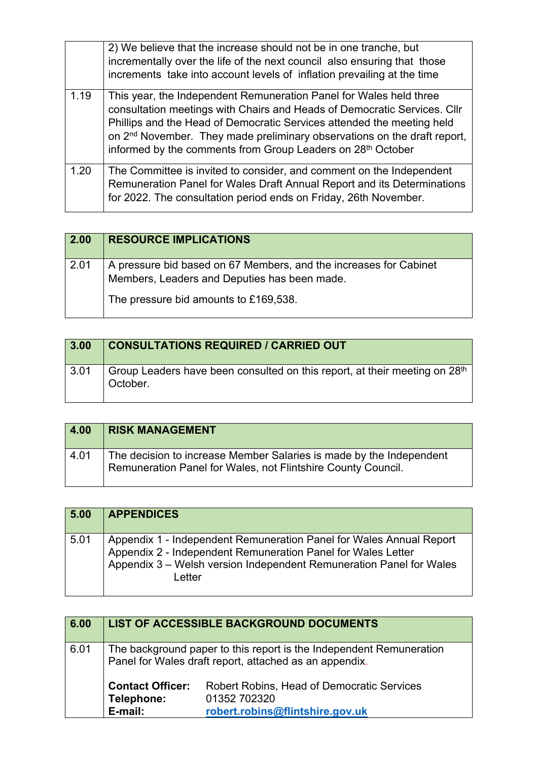|      | 2) We believe that the increase should not be in one tranche, but<br>incrementally over the life of the next council also ensuring that those                                                                                                                                                                                                                                   |
|------|---------------------------------------------------------------------------------------------------------------------------------------------------------------------------------------------------------------------------------------------------------------------------------------------------------------------------------------------------------------------------------|
|      | increments take into account levels of inflation prevailing at the time                                                                                                                                                                                                                                                                                                         |
| 1.19 | This year, the Independent Remuneration Panel for Wales held three<br>consultation meetings with Chairs and Heads of Democratic Services. Cllr<br>Phillips and the Head of Democratic Services attended the meeting held<br>on 2 <sup>nd</sup> November. They made preliminary observations on the draft report,<br>informed by the comments from Group Leaders on 28th October |
| 1.20 | The Committee is invited to consider, and comment on the Independent<br>Remuneration Panel for Wales Draft Annual Report and its Determinations<br>for 2022. The consultation period ends on Friday, 26th November.                                                                                                                                                             |

| 2.00 | <b>RESOURCE IMPLICATIONS</b>                                                                                      |
|------|-------------------------------------------------------------------------------------------------------------------|
| 2.01 | A pressure bid based on 67 Members, and the increases for Cabinet<br>Members, Leaders and Deputies has been made. |
|      | The pressure bid amounts to £169,538.                                                                             |

| 3.00 | <b>CONSULTATIONS REQUIRED / CARRIED OUT</b>                                                        |
|------|----------------------------------------------------------------------------------------------------|
| 3.01 | Group Leaders have been consulted on this report, at their meeting on 28 <sup>th</sup><br>October. |

| 4.00 | <b>RISK MANAGEMENT</b>                                                                                                              |
|------|-------------------------------------------------------------------------------------------------------------------------------------|
| 4.01 | The decision to increase Member Salaries is made by the Independent<br>Remuneration Panel for Wales, not Flintshire County Council. |

| 5.00 | <b>APPENDICES</b>                                                                                                                                                                                                           |
|------|-----------------------------------------------------------------------------------------------------------------------------------------------------------------------------------------------------------------------------|
| 5.01 | Appendix 1 - Independent Remuneration Panel for Wales Annual Report<br>Appendix 2 - Independent Remuneration Panel for Wales Letter<br>Appendix 3 – Welsh version Independent Remuneration Panel for Wales<br><u>Letter</u> |

| 6.00 |                                                                                                                               | <b>LIST OF ACCESSIBLE BACKGROUND DOCUMENTS</b>                                                       |
|------|-------------------------------------------------------------------------------------------------------------------------------|------------------------------------------------------------------------------------------------------|
| 6.01 | The background paper to this report is the Independent Remuneration<br>Panel for Wales draft report, attached as an appendix. |                                                                                                      |
|      | <b>Contact Officer:</b><br>Telephone:<br>E-mail:                                                                              | <b>Robert Robins, Head of Democratic Services</b><br>01352 702320<br>robert.robins@flintshire.gov.uk |